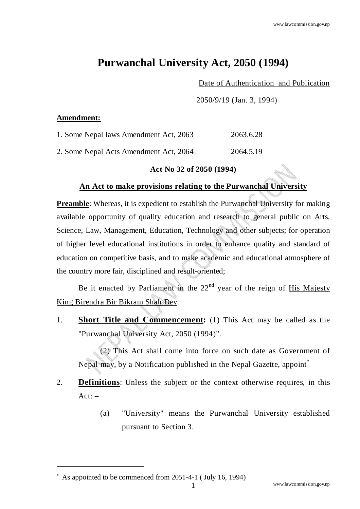## **Purwanchal University Act, 2050 (1994)**

Date of Authentication and Publication

2050/9/19 (Jan. 3, 1994)

## **Amendment:**

| 1. Some Nepal laws Amendment Act, 2063 | 2063.6.28 |
|----------------------------------------|-----------|
| 2. Some Nepal Acts Amendment Act, 2064 | 2064.5.19 |

## **Act No 32 of 2050 (1994)**

## **An Act to make provisions relating to the Purwanchal University**

**Preamble:** Whereas, it is expedient to establish the Purwanchal University for making available opportunity of quality education and research to general public on Arts, Science, Law, Management, Education, Technology and other subjects; for operation of higher level educational institutions in order to enhance quality and standard of education on competitive basis, and to make academic and educational atmosphere of the country more fair, disciplined and result-oriented;

Be it enacted by Parliament in the  $22<sup>nd</sup>$  year of the reign of His Majesty King Birendra Bir Bikram Shah Dev.

1. **Short Title and Commencement:** (1) This Act may be called as the "Purwanchal University Act, 2050 (1994)".

(2) This Act shall come into force on such date as Government of Nepal may, by a Notification published in the Nepal Gazette, appoint<sup>\*</sup>

- 2. **Definitions**: Unless the subject or the context otherwise requires, in this  $Act: -$ 
	- (a) "University" means the Purwanchal University established pursuant to Section 3.

<sup>\*</sup> As appointed to be commenced from 2051-4-1 ( July 16, 1994)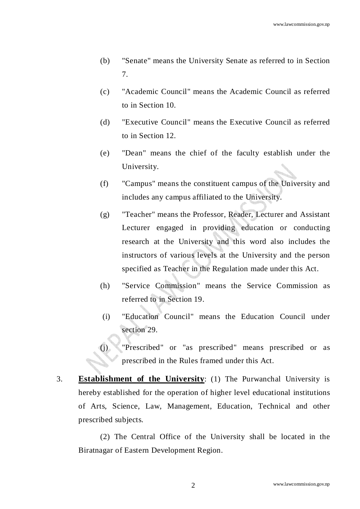- (b) "Senate" means the University Senate as referred to in Section 7.
- (c) "Academic Council" means the Academic Council as referred to in Section 10.
- (d) "Executive Council" means the Executive Council as referred to in Section 12.
- (e) "Dean" means the chief of the faculty establish under the University.
- (f) "Campus" means the constituent campus of the University and includes any campus affiliated to the University.
- (g) "Teacher" means the Professor, Reader, Lecturer and Assistant Lecturer engaged in providing education or conducting research at the University and this word also includes the instructors of various levels at the University and the person specified as Teacher in the Regulation made under this Act.
- (h) "Service Commission" means the Service Commission as referred to in Section 19.
- (i) "Education Council" means the Education Council under section 29.
- (j) "Prescribed" or "as prescribed" means prescribed or as prescribed in the Rules framed under this Act.
- 3. **Establishment of the University**: (1) The Purwanchal University is hereby established for the operation of higher level educational institutions of Arts, Science, Law, Management, Education, Technical and other prescribed subjects.

(2) The Central Office of the University shall be located in the Biratnagar of Eastern Development Region.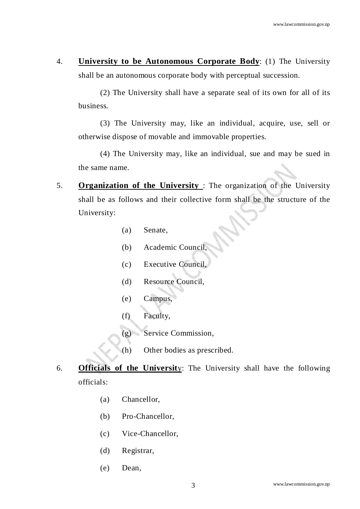4. **University to be Autonomous Corporate Body**: (1) The University shall be an autonomous corporate body with perceptual succession.

(2) The University shall have a separate seal of its own for all of its business.

(3) The University may, like an individual, acquire, use, sell or otherwise dispose of movable and immovable properties.

(4) The University may, like an individual, sue and may be sued in the same name.

- 5. **Organization of the University** : The organization of the University shall be as follows and their collective form shall be the structure of the University:
	- (a) Senate,
	- (b) Academic Council,
	- (c) Executive Council,
	- (d) Resource Council,
	- (e) Campus,
	- (f) Faculty,
	- (g) Service Commission,
	- (h) Other bodies as prescribed.
- 6. **Officials of the Universit**y: The University shall have the following officials:
	- (a) Chancellor,
	- (b) Pro-Chancellor,
	- (c) Vice-Chancellor,
	- (d) Registrar,
	- (e) Dean,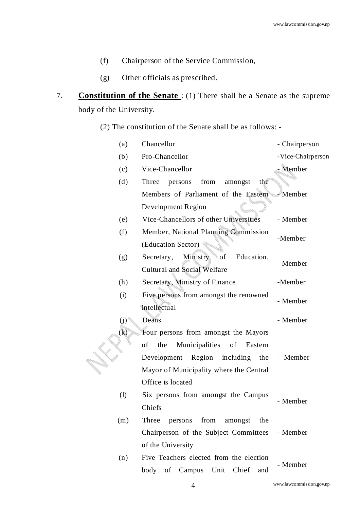- (f) Chairperson of the Service Commission,
- (g) Other officials as prescribed.
- 7. **Constitution of the Senate** : (1) There shall be a Senate as the supreme body of the University.

(2) The constitution of the Senate shall be as follows: -

| (a)               | Chancellor                                     | - Chairperson     |
|-------------------|------------------------------------------------|-------------------|
| (b)               | Pro-Chancellor                                 | -Vice-Chairperson |
| (c)               | Vice-Chancellor                                | - Member          |
| (d)               | Three<br>from<br>persons<br>amongst<br>the     |                   |
|                   | Members of Parliament of the Eastern - Member  |                   |
|                   | Development Region                             |                   |
| (e)               | Vice-Chancellors of other Universities         | - Member          |
| (f)               | Member, National Planning Commission           | -Member           |
|                   | (Education Sector)                             |                   |
| (g)               | Ministry<br>of<br>Education,<br>Secretary,     | - Member          |
|                   | <b>Cultural and Social Welfare</b>             |                   |
| (h)               | Secretary, Ministry of Finance                 | -Member           |
| (i)               | Five persons from amongst the renowned         | - Member          |
|                   | intellectual                                   |                   |
| (j)               | Deans                                          | - Member          |
| $\left( k\right)$ | Four persons from amongst the Mayors           |                   |
|                   | Municipalities<br>of<br>the<br>of<br>Eastern   |                   |
|                   | Development<br>Region including                | the - Member      |
|                   | Mayor of Municipality where the Central        |                   |
|                   | Office is located                              |                   |
| (1)               | Six persons from amongst the Campus            | - Member          |
|                   | Chiefs                                         |                   |
| (m)               | from amongst the<br>Three persons              |                   |
|                   | Chairperson of the Subject Committees - Member |                   |
|                   | of the University                              |                   |
| (n)               | Five Teachers elected from the election        | - Member          |
|                   | body of Campus Unit Chief<br>and               |                   |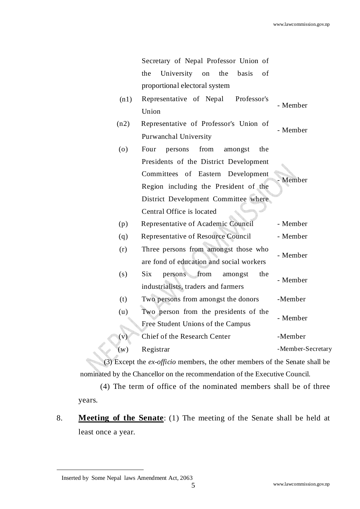Secretary of Nepal Professor Union of the University on the basis of proportional electoral system

- $M(n1)$  Representative of Nepal Professor's Union - Member
- (n2) Representative of Professor's Union of Purwanchal University - Member
- (o) Four persons from amongst the Presidents of the District Development Committees of Eastern Development Region including the President of the District Development Committee where Central Office is located **Member** (p) Representative of Academic Council - Member (q) Representative of Resource Council - Member (r) Three persons from amongst those who are fond of education and social workers - Member (s) Six persons from amongst the industrialists, traders and farmers - Member
- (t) Two persons from amongst the donors -Member (u) Two person from the presidents of the Free Student Unions of the Campus - Member (v) Chief of the Research Center -Member

(w) Registrar -Member-Secretary

(3) Except the *ex-officio* members, the other members of the Senate shall be nominated by the Chancellor on the recommendation of the Executive Council.

 (4) The term of office of the nominated members shall be of three years.

8. **Meeting of the Senate**: (1) The meeting of the Senate shall be held at least once a year.

<sup>&</sup>lt;sup>™</sup> Inserted by Some Nepal laws Amendment Act, 2063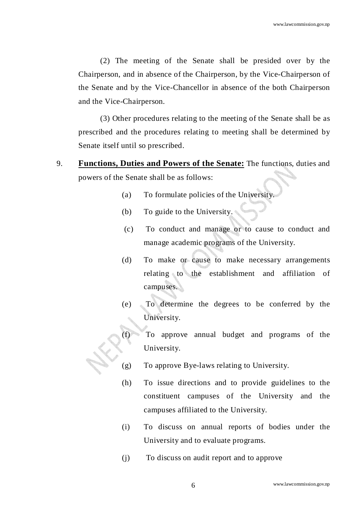(2) The meeting of the Senate shall be presided over by the Chairperson, and in absence of the Chairperson, by the Vice-Chairperson of the Senate and by the Vice-Chancellor in absence of the both Chairperson and the Vice-Chairperson.

 (3) Other procedures relating to the meeting of the Senate shall be as prescribed and the procedures relating to meeting shall be determined by Senate itself until so prescribed.

- 9. **Functions, Duties and Powers of the Senate:** The functions, duties and powers of the Senate shall be as follows:
	- (a) To formulate policies of the University.
	- (b) To guide to the University.
	- (c) To conduct and manage or to cause to conduct and manage academic programs of the University.
	- (d) To make or cause to make necessary arrangements relating to the establishment and affiliation of campuses.
	- (e) To determine the degrees to be conferred by the University.
	- (f) To approve annual budget and programs of the University.
	- (g) To approve Bye-laws relating to University.
	- (h) To issue directions and to provide guidelines to the constituent campuses of the University and the campuses affiliated to the University.
	- (i) To discuss on annual reports of bodies under the University and to evaluate programs.
	- (j) To discuss on audit report and to approve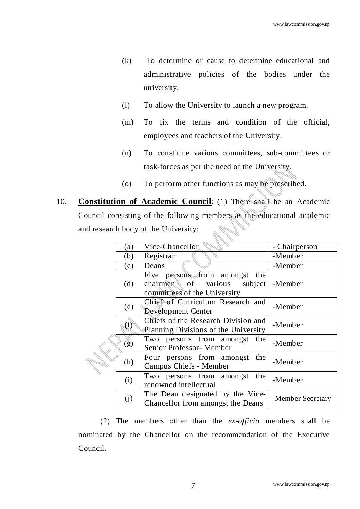- (k) To determine or cause to determine educational and administrative policies of the bodies under the university.
- (l) To allow the University to launch a new program.
- (m) To fix the terms and condition of the official, employees and teachers of the University.
- (n) To constitute various committees, sub-committees or task-forces as per the need of the University.
- (o) To perform other functions as may be prescribed.
- 10. **Constitution of Academic Council**: (1) There shall be an Academic Council consisting of the following members as the educational academic and research body of the University:

|  | (a) | Vice-Chancellor                                                                                    | - Chairperson     |
|--|-----|----------------------------------------------------------------------------------------------------|-------------------|
|  | (b) | Registrar                                                                                          | -Member           |
|  | (c) | Deans                                                                                              | -Member           |
|  | (d) | Five persons from amongst<br>the<br>chairmen of various<br>subject<br>committees of the University | -Member           |
|  | (e) | Chief of Curriculum Research and<br>Development Center                                             | -Member           |
|  | (f) | Chiefs of the Research Division and<br>Planning Divisions of the University                        | -Member           |
|  | (g) | Two persons from amongst the<br>Senior Professor- Member                                           | -Member           |
|  | (h) | Four persons from amongst<br>the<br>Campus Chiefs - Member                                         | -Member           |
|  | (i) | Two persons from amongst<br>the<br>renowned intellectual                                           | -Member           |
|  | (i) | The Dean designated by the Vice-<br>Chancellor from amongst the Deans                              | -Member Secretary |
|  |     |                                                                                                    |                   |

 (2) The members other than the *ex-officio* members shall be nominated by the Chancellor on the recommendation of the Executive Council.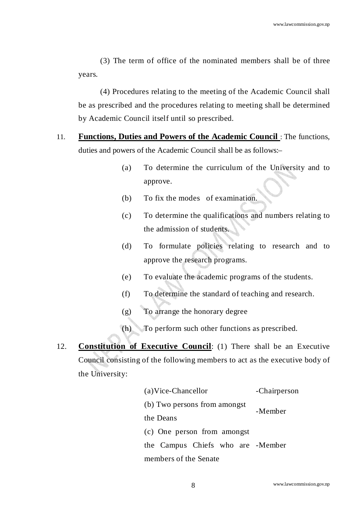(3) The term of office of the nominated members shall be of three years.

 (4) Procedures relating to the meeting of the Academic Council shall be as prescribed and the procedures relating to meeting shall be determined by Academic Council itself until so prescribed.

- 11. **Functions, Duties and Powers of the Academic Council** : The functions, duties and powers of the Academic Council shall be as follows:–
	- (a) To determine the curriculum of the University and to approve.
	- (b) To fix the modes of examination.
	- (c) To determine the qualifications and numbers relating to the admission of students.
	- (d) To formulate policies relating to research and to approve the research programs.
	- (e) To evaluate the academic programs of the students.
	- (f) To determine the standard of teaching and research.
	- (g) To arrange the honorary degree
	- (h) To perform such other functions as prescribed.
- 12. **Constitution of Executive Council**: (1) There shall be an Executive Council consisting of the following members to act as the executive body of the University:

| (a)Vice-Chancellor                | -Chairperson |  |  |  |
|-----------------------------------|--------------|--|--|--|
| (b) Two persons from amongst      | -Member      |  |  |  |
| the Deans                         |              |  |  |  |
| (c) One person from amongst       |              |  |  |  |
| the Campus Chiefs who are -Member |              |  |  |  |
| members of the Senate             |              |  |  |  |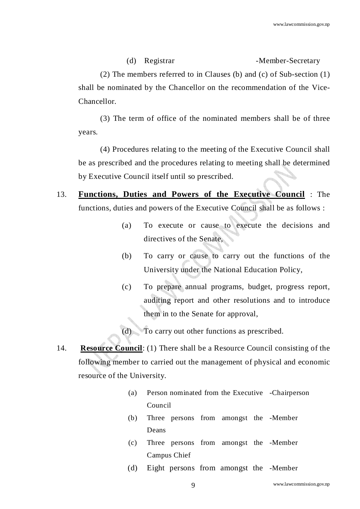(2) The members referred to in Clauses (b) and (c) of Sub-section (1) shall be nominated by the Chancellor on the recommendation of the Vice-Chancellor.

(d) Registrar -Member-Secretary

 (3) The term of office of the nominated members shall be of three years.

 (4) Procedures relating to the meeting of the Executive Council shall be as prescribed and the procedures relating to meeting shall be determined by Executive Council itself until so prescribed.

- 13. **Functions, Duties and Powers of the Executive Council** : The functions, duties and powers of the Executive Council shall be as follows :
	- (a) To execute or cause to execute the decisions and directives of the Senate,
	- (b) To carry or cause to carry out the functions of the University under the National Education Policy,
	- (c) To prepare annual programs, budget, progress report, auditing report and other resolutions and to introduce them in to the Senate for approval,
	- (d) To carry out other functions as prescribed.
- 14. **Resource Council**: (1) There shall be a Resource Council consisting of the following member to carried out the management of physical and economic resource of the University.
	- (a) Person nominated from the Executive -Chairperson Council
	- (b) Three persons from amongst the -Member Deans
	- (c) Three persons from amongst the -Member Campus Chief
	- (d) Eight persons from amongst the -Member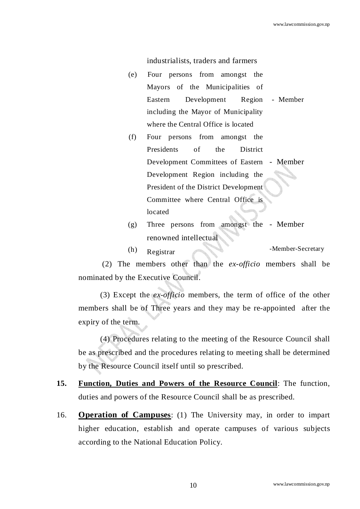industrialists, traders and farmers

- (e) Four persons from amongst the Mayors of the Municipalities of Eastern Development Region including the Mayor of Municipality where the Central Office is located - Member
- (f) Four persons from amongst the Presidents of the District Development Committees of Eastern - Member Development Region including the President of the District Development Committee where Central Office is located
- (g) Three persons from amongst the - Member renowned intellectual
- (h) Registrar -Member-Secretary

 (2) The members other than the *ex-officio* members shall be nominated by the Executive Council.

(3) Except the *ex-officio* members, the term of office of the other members shall be of Three years and they may be re-appointed after the expiry of the term.

(4) Procedures relating to the meeting of the Resource Council shall be as prescribed and the procedures relating to meeting shall be determined by the Resource Council itself until so prescribed.

- **15. Function, Duties and Powers of the Resource Council**: The function, duties and powers of the Resource Council shall be as prescribed.
- 16. **Operation of Campuses**: (1) The University may, in order to impart higher education, establish and operate campuses of various subjects according to the National Education Policy.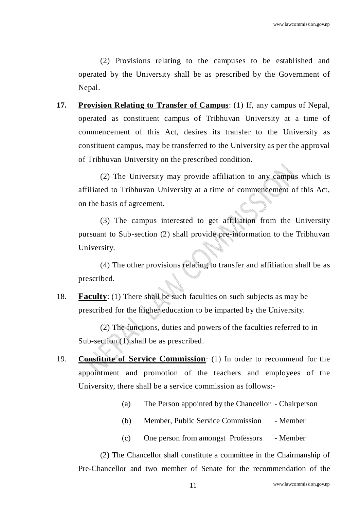(2) Provisions relating to the campuses to be established and operated by the University shall be as prescribed by the Government of Nepal.

**17. Provision Relating to Transfer of Campus**: (1) If, any campus of Nepal, operated as constituent campus of Tribhuvan University at a time of commencement of this Act, desires its transfer to the University as constituent campus, may be transferred to the University as per the approval of Tribhuvan University on the prescribed condition.

(2) The University may provide affiliation to any campus which is affiliated to Tribhuvan University at a time of commencement of this Act, on the basis of agreement.

(3) The campus interested to get affiliation from the University pursuant to Sub-section (2) shall provide pre-information to the Tribhuvan University.

(4) The other provisions relating to transfer and affiliation shall be as prescribed.

18. **Faculty**: (1) There shall be such faculties on such subjects as may be prescribed for the higher education to be imparted by the University.

 (2) The functions, duties and powers of the faculties referred to in Sub-section (1) shall be as prescribed.

- 19. **Constitute of Service Commission**: (1) In order to recommend for the appointment and promotion of the teachers and employees of the University, there shall be a service commission as follows:-
	- (a) The Person appointed by the Chancellor Chairperson
	- (b) Member, Public Service Commission Member
	- (c) One person from amongst Professors Member

(2) The Chancellor shall constitute a committee in the Chairmanship of Pre-Chancellor and two member of Senate for the recommendation of the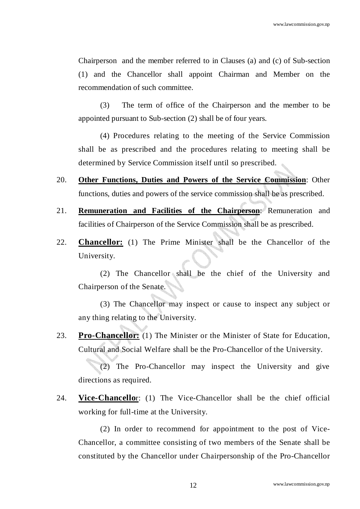Chairperson and the member referred to in Clauses (a) and (c) of Sub-section (1) and the Chancellor shall appoint Chairman and Member on the recommendation of such committee.

 (3) The term of office of the Chairperson and the member to be appointed pursuant to Sub-section (2) shall be of four years.

(4) Procedures relating to the meeting of the Service Commission shall be as prescribed and the procedures relating to meeting shall be determined by Service Commission itself until so prescribed.

- 20. **Other Functions, Duties and Powers of the Service Commission**: Other functions, duties and powers of the service commission shall be as prescribed.
- 21. **Remuneration and Facilities of the Chairperson**: Remuneration and facilities of Chairperson of the Service Commission shall be as prescribed.
- 22. **Chancellor:** (1) The Prime Minister shall be the Chancellor of the University.

 (2) The Chancellor shall be the chief of the University and Chairperson of the Senate.

 (3) The Chancellor may inspect or cause to inspect any subject or any thing relating to the University.

23. **Pro-Chancellor:** (1) The Minister or the Minister of State for Education, Cultural and Social Welfare shall be the Pro-Chancellor of the University.

 (2) The Pro-Chancellor may inspect the University and give directions as required.

24. **Vice-Chancello**r: (1) The Vice-Chancellor shall be the chief official working for full-time at the University.

 (2) In order to recommend for appointment to the post of Vice-Chancellor, a committee consisting of two members of the Senate shall be constituted by the Chancellor under Chairpersonship of the Pro-Chancellor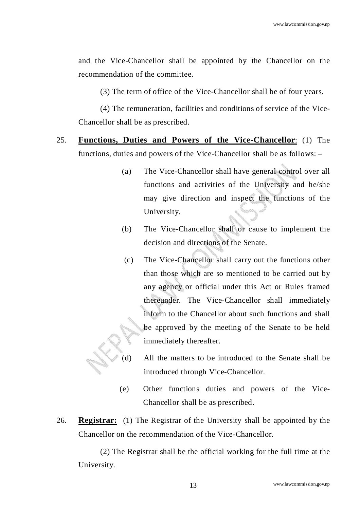and the Vice-Chancellor shall be appointed by the Chancellor on the recommendation of the committee.

(3) The term of office of the Vice-Chancellor shall be of four years.

 (4) The remuneration, facilities and conditions of service of the Vice-Chancellor shall be as prescribed.

25. **Functions, Duties and Powers of the Vice-Chancellor**: (1) The functions, duties and powers of the Vice-Chancellor shall be as follows: –

- (a) The Vice-Chancellor shall have general control over all functions and activities of the University and he/she may give direction and inspect the functions of the University.
- (b) The Vice-Chancellor shall or cause to implement the decision and directions of the Senate.
- (c) The Vice-Chancellor shall carry out the functions other than those which are so mentioned to be carried out by any agency or official under this Act or Rules framed thereunder. The Vice-Chancellor shall immediately inform to the Chancellor about such functions and shall be approved by the meeting of the Senate to be held immediately thereafter.
- (d) All the matters to be introduced to the Senate shall be introduced through Vice-Chancellor.
- (e) Other functions duties and powers of the Vice-Chancellor shall be as prescribed.
- 26. **Registrar:** (1) The Registrar of the University shall be appointed by the Chancellor on the recommendation of the Vice-Chancellor.

(2) The Registrar shall be the official working for the full time at the University.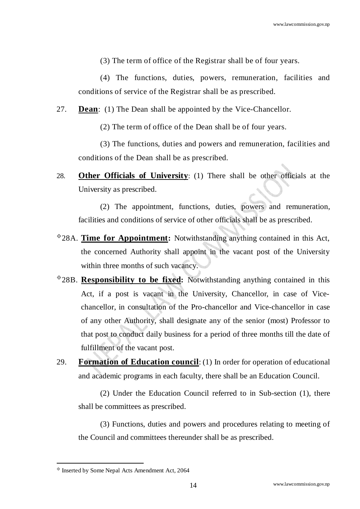(3) The term of office of the Registrar shall be of four years.

(4) The functions, duties, powers, remuneration, facilities and conditions of service of the Registrar shall be as prescribed.

27. **Dean**: (1) The Dean shall be appointed by the Vice-Chancellor.

(2) The term of office of the Dean shall be of four years.

(3) The functions, duties and powers and remuneration, facilities and conditions of the Dean shall be as prescribed.

28. **Other Officials of University**: (1) There shall be other officials at the University as prescribed.

 (2) The appointment, functions, duties, powers and remuneration, facilities and conditions of service of other officials shall be as prescribed.

- 28A. **Time for Appointment:** Notwithstanding anything contained in this Act, the concerned Authority shall appoint in the vacant post of the University within three months of such vacancy.
- 28B. **Responsibility to be fixed:** Notwithstanding anything contained in this Act, if a post is vacant in the University, Chancellor, in case of Vicechancellor, in consultation of the Pro-chancellor and Vice-chancellor in case of any other Authority, shall designate any of the senior (most) Professor to that post to conduct daily business for a period of three months till the date of fulfillment of the vacant post.
- 29. **Formation of Education council**: (1) In order for operation of educational and academic programs in each faculty, there shall be an Education Council.

(2) Under the Education Council referred to in Sub-section (1), there shall be committees as prescribed.

(3) Functions, duties and powers and procedures relating to meeting of the Council and committees thereunder shall be as prescribed.

 $\textdegree$  Inserted by Some Nepal Acts Amendment Act, 2064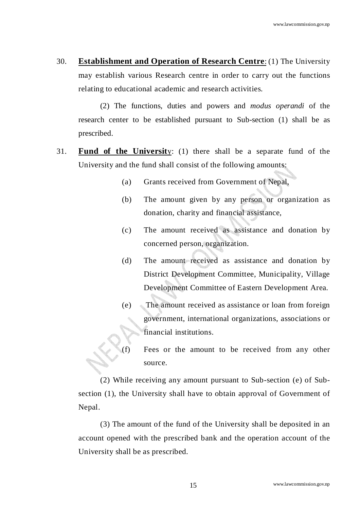30. **Establishment and Operation of Research Centre**: (1) The University may establish various Research centre in order to carry out the functions relating to educational academic and research activities.

(2) The functions, duties and powers and *modus operandi* of the research center to be established pursuant to Sub-section (1) shall be as prescribed.

- 31. **Fund of the Universit**y: (1) there shall be a separate fund of the University and the fund shall consist of the following amounts:
	- (a) Grants received from Government of Nepal,
	- (b) The amount given by any person or organization as donation, charity and financial assistance,
	- (c) The amount received as assistance and donation by concerned person, organization.
	- (d) The amount received as assistance and donation by District Development Committee, Municipality, Village Development Committee of Eastern Development Area.
	- (e) The amount received as assistance or loan from foreign government, international organizations, associations or financial institutions.
	- (f) Fees or the amount to be received from any other source.

(2) While receiving any amount pursuant to Sub-section (e) of Subsection (1), the University shall have to obtain approval of Government of Nepal.

(3) The amount of the fund of the University shall be deposited in an account opened with the prescribed bank and the operation account of the University shall be as prescribed.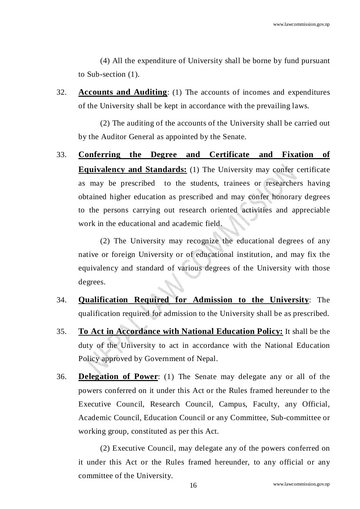(4) All the expenditure of University shall be borne by fund pursuant to Sub-section (1).

32. **Accounts and Auditing**: (1) The accounts of incomes and expenditures of the University shall be kept in accordance with the prevailing laws.

(2) The auditing of the accounts of the University shall be carried out by the Auditor General as appointed by the Senate.

33. **Conferring the Degree and Certificate and Fixation of Equivalency and Standards:** (1) The University may confer certificate as may be prescribed to the students, trainees or researchers having obtained higher education as prescribed and may confer honorary degrees to the persons carrying out research oriented activities and appreciable work in the educational and academic field.

(2) The University may recognize the educational degrees of any native or foreign University or of educational institution, and may fix the equivalency and standard of various degrees of the University with those degrees.

- 34. **Qualification Required for Admission to the University**: The qualification required for admission to the University shall be as prescribed.
- 35. **To Act in Accordance with National Education Policy:** It shall be the duty of the University to act in accordance with the National Education Policy approved by Government of Nepal.
- 36. **Delegation of Power**: (1) The Senate may delegate any or all of the powers conferred on it under this Act or the Rules framed hereunder to the Executive Council, Research Council, Campus, Faculty, any Official, Academic Council, Education Council or any Committee, Sub-committee or working group, constituted as per this Act.

(2) Executive Council, may delegate any of the powers conferred on it under this Act or the Rules framed hereunder, to any official or any committee of the University.